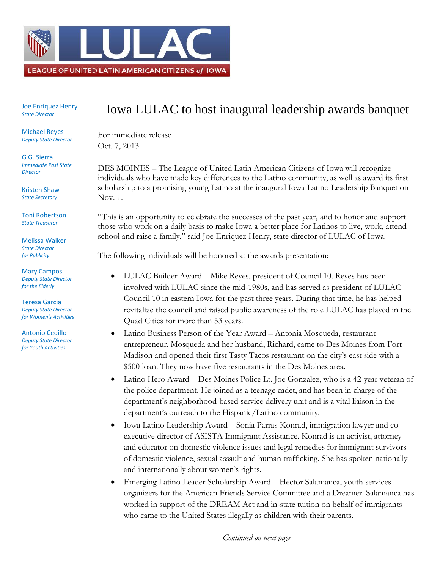

Joe Enríquez Henry *State Director*

Michael Reyes *Deputy State Director*

G.G. Sierra *Immediate Past State Director*

Kristen Shaw *State Secretary*

Toni Robertson *State Treasurer*

Melissa Walker *State Director for Publicity*

Mary Campos *Deputy State Director for the Elderly*

Teresa Garcia *Deputy State Director for Women's Activities*

Antonio Cedillo *Deputy State Director for Youth Activities*

## Iowa LULAC to host inaugural leadership awards banquet

For immediate release Oct. 7, 2013

DES MOINES – The League of United Latin American Citizens of Iowa will recognize individuals who have made key differences to the Latino community, as well as award its first scholarship to a promising young Latino at the inaugural Iowa Latino Leadership Banquet on Nov. 1.

"This is an opportunity to celebrate the successes of the past year, and to honor and support those who work on a daily basis to make Iowa a better place for Latinos to live, work, attend school and raise a family," said Joe Enriquez Henry, state director of LULAC of Iowa.

The following individuals will be honored at the awards presentation:

- LULAC Builder Award Mike Reyes, president of Council 10. Reyes has been involved with LULAC since the mid-1980s, and has served as president of LULAC Council 10 in eastern Iowa for the past three years. During that time, he has helped revitalize the council and raised public awareness of the role LULAC has played in the Quad Cities for more than 53 years.
- Latino Business Person of the Year Award Antonia Mosqueda, restaurant entrepreneur. Mosqueda and her husband, Richard, came to Des Moines from Fort Madison and opened their first Tasty Tacos restaurant on the city's east side with a \$500 loan. They now have five restaurants in the Des Moines area.
- Latino Hero Award Des Moines Police Lt. Joe Gonzalez, who is a 42-year veteran of the police department. He joined as a teenage cadet, and has been in charge of the department's neighborhood-based service delivery unit and is a vital liaison in the department's outreach to the Hispanic/Latino community.
- Iowa Latino Leadership Award Sonia Parras Konrad, immigration lawyer and coexecutive director of ASISTA Immigrant Assistance. Konrad is an activist, attorney and educator on domestic violence issues and legal remedies for immigrant survivors of domestic violence, sexual assault and human trafficking. She has spoken nationally and internationally about women's rights.
- Emerging Latino Leader Scholarship Award Hector Salamanca, youth services organizers for the American Friends Service Committee and a Dreamer. Salamanca has worked in support of the DREAM Act and in-state tuition on behalf of immigrants who came to the United States illegally as children with their parents.

*Continued on next page*